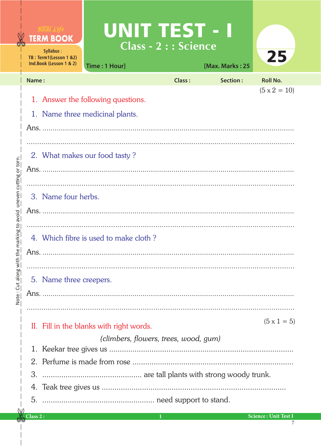|                         |          | <b>TERM BOOK</b><br>Syllabus:<br>TB: Term1(Lesson 1 &2)<br>Ind.Book (Lesson 1 & 2)                      | <b>UNIT TEST - I</b><br>Time: 1 Hour]                                 | <b>Class - 2 : : Science</b> | [Max. Marks: 25 | 25                          |  |  |  |  |
|-------------------------|----------|---------------------------------------------------------------------------------------------------------|-----------------------------------------------------------------------|------------------------------|-----------------|-----------------------------|--|--|--|--|
|                         | Name:    |                                                                                                         |                                                                       | <b>Class:</b>                | Section:        | <b>Roll No.</b>             |  |  |  |  |
|                         |          |                                                                                                         | 1. Answer the following questions.<br>1. Name three medicinal plants. |                              |                 | $(5 \times 2 = 10)$         |  |  |  |  |
| uneven cutting or torn. |          | 2. What makes our food tasty?                                                                           |                                                                       |                              |                 |                             |  |  |  |  |
|                         |          | 3. Name four herbs.                                                                                     |                                                                       |                              |                 |                             |  |  |  |  |
| he marking to avoid     |          |                                                                                                         | 4. Which fibre is used to make cloth?                                 |                              |                 |                             |  |  |  |  |
| Note: Cut along witl    |          | 5. Name three creepers.                                                                                 |                                                                       |                              |                 |                             |  |  |  |  |
|                         |          | $(5 \times 1 = 5)$<br>II. Fill in the blanks with right words.<br>(climbers, flowers, trees, wood, gum) |                                                                       |                              |                 |                             |  |  |  |  |
|                         | 1.       |                                                                                                         |                                                                       |                              |                 |                             |  |  |  |  |
|                         |          |                                                                                                         |                                                                       |                              |                 |                             |  |  |  |  |
|                         | 3.       |                                                                                                         |                                                                       |                              |                 |                             |  |  |  |  |
|                         |          |                                                                                                         |                                                                       |                              |                 |                             |  |  |  |  |
|                         | Class 2: |                                                                                                         |                                                                       | -1                           |                 | <b>Science: Unit Test I</b> |  |  |  |  |